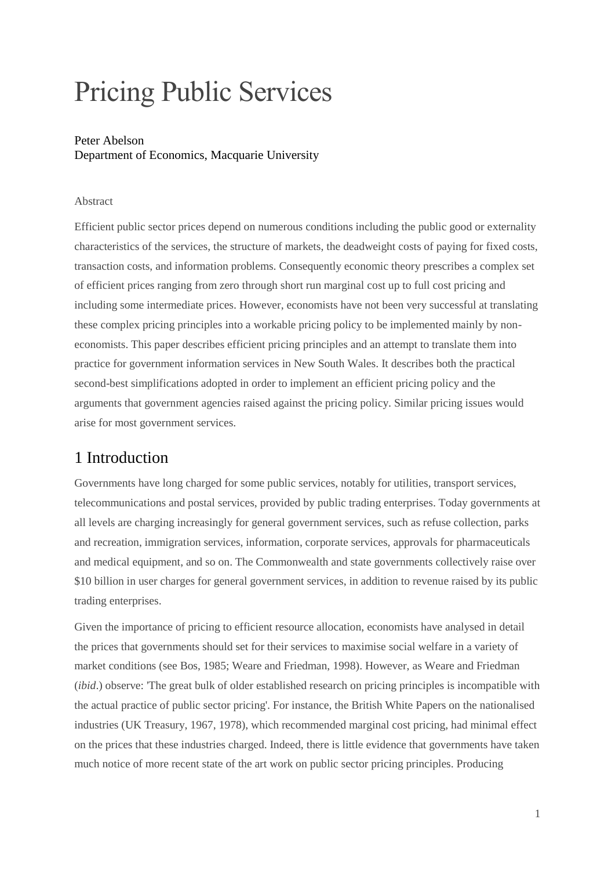# Pricing Public Services

### Peter Abelson Department of Economics, Macquarie University

#### Abstract

Efficient public sector prices depend on numerous conditions including the public good or externality characteristics of the services, the structure of markets, the deadweight costs of paying for fixed costs, transaction costs, and information problems. Consequently economic theory prescribes a complex set of efficient prices ranging from zero through short run marginal cost up to full cost pricing and including some intermediate prices. However, economists have not been very successful at translating these complex pricing principles into a workable pricing policy to be implemented mainly by noneconomists. This paper describes efficient pricing principles and an attempt to translate them into practice for government information services in New South Wales. It describes both the practical second-best simplifications adopted in order to implement an efficient pricing policy and the arguments that government agencies raised against the pricing policy. Similar pricing issues would arise for most government services.

## 1 Introduction

Governments have long charged for some public services, notably for utilities, transport services, telecommunications and postal services, provided by public trading enterprises. Today governments at all levels are charging increasingly for general government services, such as refuse collection, parks and recreation, immigration services, information, corporate services, approvals for pharmaceuticals and medical equipment, and so on. The Commonwealth and state governments collectively raise over \$10 billion in user charges for general government services, in addition to revenue raised by its public trading enterprises.

Given the importance of pricing to efficient resource allocation, economists have analysed in detail the prices that governments should set for their services to maximise social welfare in a variety of market conditions (see Bos, 1985; Weare and Friedman, 1998). However, as Weare and Friedman (*ibid*.) observe: 'The great bulk of older established research on pricing principles is incompatible with the actual practice of public sector pricing'. For instance, the British White Papers on the nationalised industries (UK Treasury, 1967, 1978), which recommended marginal cost pricing, had minimal effect on the prices that these industries charged. Indeed, there is little evidence that governments have taken much notice of more recent state of the art work on public sector pricing principles. Producing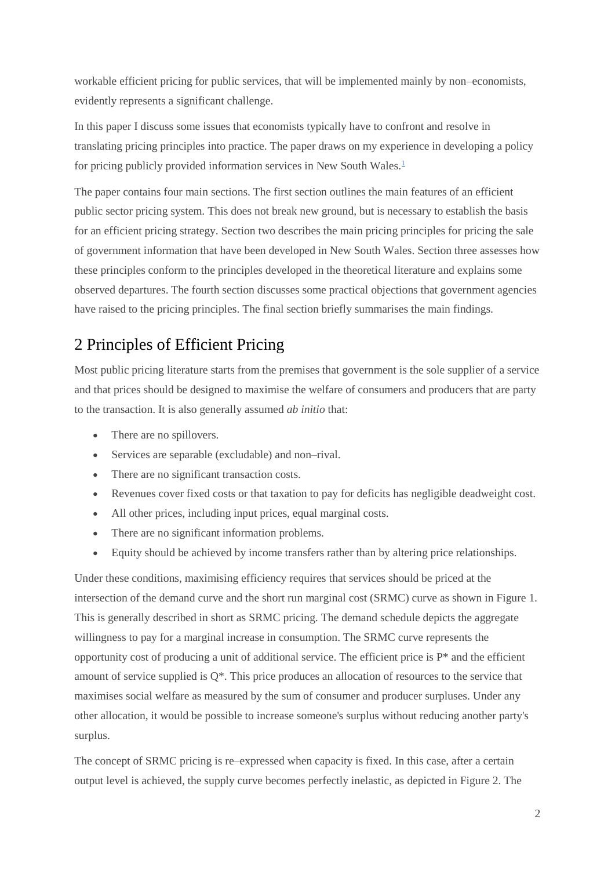workable efficient pricing for public services, that will be implemented mainly by non–economists, evidently represents a significant challenge.

In this paper I discuss some issues that economists typically have to confront and resolve in translating pricing principles into practice. The paper draws on my experience in developing a policy for pricing publicly provided information services in New South Wales[.](https://web.archive.org/web/20091014111331/http:/www.appliedeconomics.com.au/pubs/papers/pa01_services.htm#P16_2978) $\frac{1}{2}$ 

The paper contains four main sections. The first section outlines the main features of an efficient public sector pricing system. This does not break new ground, but is necessary to establish the basis for an efficient pricing strategy. Section two describes the main pricing principles for pricing the sale of government information that have been developed in New South Wales. Section three assesses how these principles conform to the principles developed in the theoretical literature and explains some observed departures. The fourth section discusses some practical objections that government agencies have raised to the pricing principles. The final section briefly summarises the main findings.

# 2 Principles of Efficient Pricing

Most public pricing literature starts from the premises that government is the sole supplier of a service and that prices should be designed to maximise the welfare of consumers and producers that are party to the transaction. It is also generally assumed *ab initio* that:

- There are no spillovers.
- Services are separable (excludable) and non–rival.
- There are no significant transaction costs.
- Revenues cover fixed costs or that taxation to pay for deficits has negligible deadweight cost.
- All other prices, including input prices, equal marginal costs.
- There are no significant information problems.
- Equity should be achieved by income transfers rather than by altering price relationships.

Under these conditions, maximising efficiency requires that services should be priced at the intersection of the demand curve and the short run marginal cost (SRMC) curve as shown in Figure 1. This is generally described in short as SRMC pricing. The demand schedule depicts the aggregate willingness to pay for a marginal increase in consumption. The SRMC curve represents the opportunity cost of producing a unit of additional service. The efficient price is P\* and the efficient amount of service supplied is Q\*. This price produces an allocation of resources to the service that maximises social welfare as measured by the sum of consumer and producer surpluses. Under any other allocation, it would be possible to increase someone's surplus without reducing another party's surplus.

The concept of SRMC pricing is re–expressed when capacity is fixed. In this case, after a certain output level is achieved, the supply curve becomes perfectly inelastic, as depicted in Figure 2. The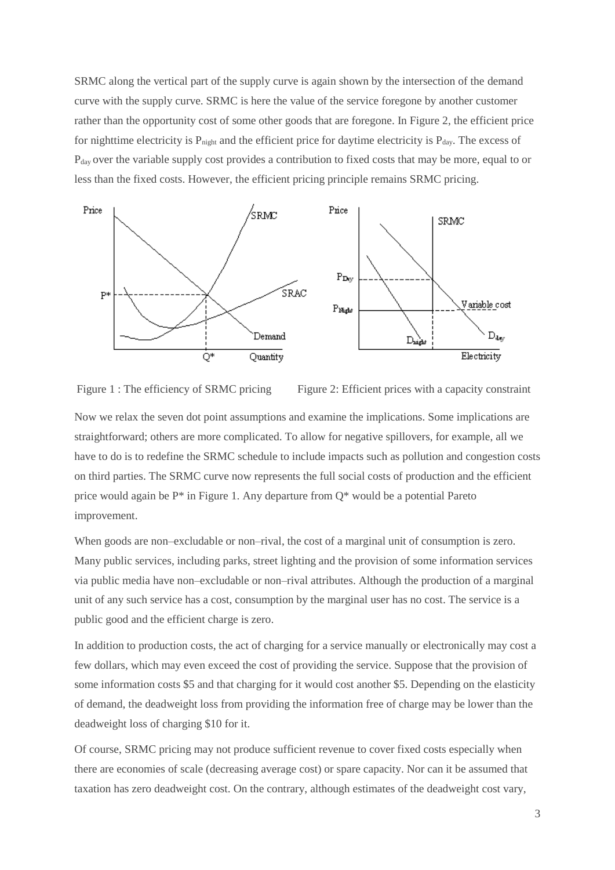SRMC along the vertical part of the supply curve is again shown by the intersection of the demand curve with the supply curve. SRMC is here the value of the service foregone by another customer rather than the opportunity cost of some other goods that are foregone. In Figure 2, the efficient price for nighttime electricity is  $P_{night}$  and the efficient price for daytime electricity is  $P_{day}$ . The excess of  $P_{\text{day}}$  over the variable supply cost provides a contribution to fixed costs that may be more, equal to or less than the fixed costs. However, the efficient pricing principle remains SRMC pricing.



Figure 1 : The efficiency of SRMC pricing Figure 2: Efficient prices with a capacity constraint Now we relax the seven dot point assumptions and examine the implications. Some implications are straightforward; others are more complicated. To allow for negative spillovers, for example, all we have to do is to redefine the SRMC schedule to include impacts such as pollution and congestion costs on third parties. The SRMC curve now represents the full social costs of production and the efficient price would again be P\* in Figure 1. Any departure from Q\* would be a potential Pareto improvement.

When goods are non–excludable or non–rival, the cost of a marginal unit of consumption is zero. Many public services, including parks, street lighting and the provision of some information services via public media have non–excludable or non–rival attributes. Although the production of a marginal unit of any such service has a cost, consumption by the marginal user has no cost. The service is a public good and the efficient charge is zero.

In addition to production costs, the act of charging for a service manually or electronically may cost a few dollars, which may even exceed the cost of providing the service. Suppose that the provision of some information costs \$5 and that charging for it would cost another \$5. Depending on the elasticity of demand, the deadweight loss from providing the information free of charge may be lower than the deadweight loss of charging \$10 for it.

Of course, SRMC pricing may not produce sufficient revenue to cover fixed costs especially when there are economies of scale (decreasing average cost) or spare capacity. Nor can it be assumed that taxation has zero deadweight cost. On the contrary, although estimates of the deadweight cost vary,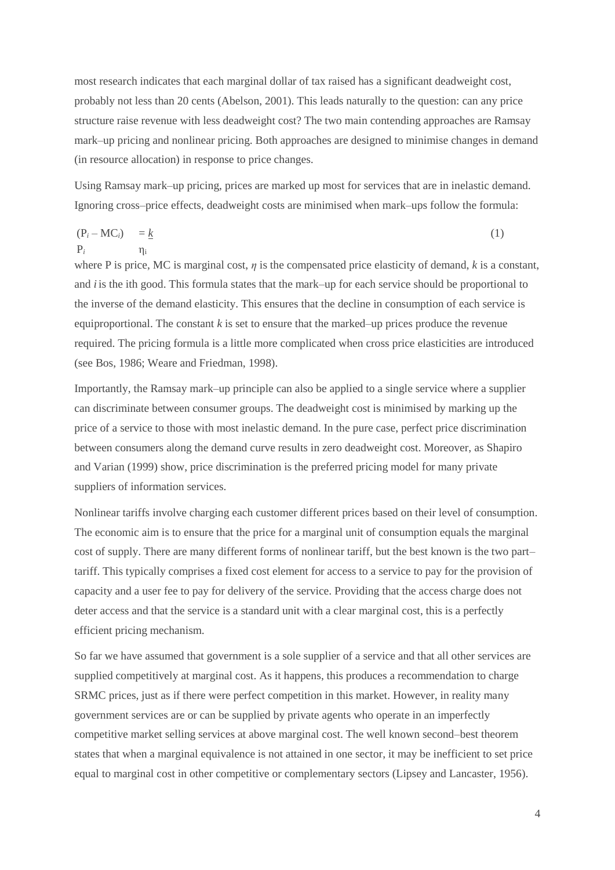most research indicates that each marginal dollar of tax raised has a significant deadweight cost, probably not less than 20 cents (Abelson, 2001). This leads naturally to the question: can any price structure raise revenue with less deadweight cost? The two main contending approaches are Ramsay mark–up pricing and nonlinear pricing. Both approaches are designed to minimise changes in demand (in resource allocation) in response to price changes.

Using Ramsay mark–up pricing, prices are marked up most for services that are in inelastic demand. Ignoring cross–price effects, deadweight costs are minimised when mark–ups follow the formula:

$$
\begin{array}{ll}\n\text{(P}_i - \text{MC}_i) & = \underline{k} \\
\text{P}_i & \eta_i\n\end{array} \tag{1}
$$

where P is price, MC is marginal cost, *η* is the compensated price elasticity of demand, *k* is a constant, and *i* is the ith good. This formula states that the mark–up for each service should be proportional to the inverse of the demand elasticity. This ensures that the decline in consumption of each service is equiproportional. The constant *k* is set to ensure that the marked–up prices produce the revenue required. The pricing formula is a little more complicated when cross price elasticities are introduced (see Bos, 1986; Weare and Friedman, 1998).

Importantly, the Ramsay mark–up principle can also be applied to a single service where a supplier can discriminate between consumer groups. The deadweight cost is minimised by marking up the price of a service to those with most inelastic demand. In the pure case, perfect price discrimination between consumers along the demand curve results in zero deadweight cost. Moreover, as Shapiro and Varian (1999) show, price discrimination is the preferred pricing model for many private suppliers of information services.

Nonlinear tariffs involve charging each customer different prices based on their level of consumption. The economic aim is to ensure that the price for a marginal unit of consumption equals the marginal cost of supply. There are many different forms of nonlinear tariff, but the best known is the two part– tariff. This typically comprises a fixed cost element for access to a service to pay for the provision of capacity and a user fee to pay for delivery of the service. Providing that the access charge does not deter access and that the service is a standard unit with a clear marginal cost, this is a perfectly efficient pricing mechanism.

So far we have assumed that government is a sole supplier of a service and that all other services are supplied competitively at marginal cost. As it happens, this produces a recommendation to charge SRMC prices, just as if there were perfect competition in this market. However, in reality many government services are or can be supplied by private agents who operate in an imperfectly competitive market selling services at above marginal cost. The well known second–best theorem states that when a marginal equivalence is not attained in one sector, it may be inefficient to set price equal to marginal cost in other competitive or complementary sectors (Lipsey and Lancaster, 1956).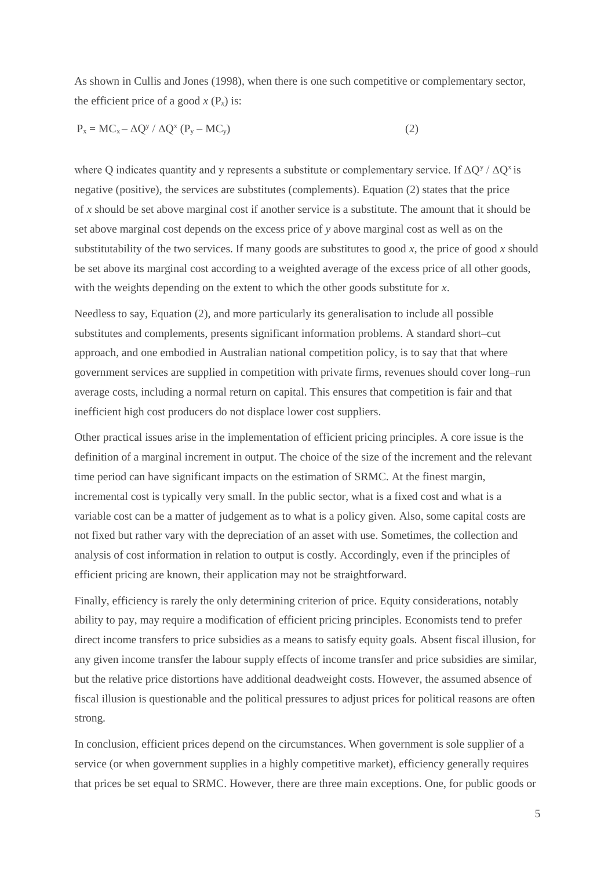As shown in Cullis and Jones (1998), when there is one such competitive or complementary sector, the efficient price of a good  $x(P_x)$  is:

$$
P_x = MC_x - \Delta Q^y / \Delta Q^x (P_y - MC_y)
$$
 (2)

where Q indicates quantity and y represents a substitute or complementary service. If  $\Delta Q^y / \Delta Q^x$  is negative (positive), the services are substitutes (complements). Equation (2) states that the price of *x* should be set above marginal cost if another service is a substitute. The amount that it should be set above marginal cost depends on the excess price of *y* above marginal cost as well as on the substitutability of the two services. If many goods are substitutes to good *x*, the price of good *x* should be set above its marginal cost according to a weighted average of the excess price of all other goods, with the weights depending on the extent to which the other goods substitute for *x*.

Needless to say, Equation (2), and more particularly its generalisation to include all possible substitutes and complements, presents significant information problems. A standard short–cut approach, and one embodied in Australian national competition policy, is to say that that where government services are supplied in competition with private firms, revenues should cover long–run average costs, including a normal return on capital. This ensures that competition is fair and that inefficient high cost producers do not displace lower cost suppliers.

Other practical issues arise in the implementation of efficient pricing principles. A core issue is the definition of a marginal increment in output. The choice of the size of the increment and the relevant time period can have significant impacts on the estimation of SRMC. At the finest margin, incremental cost is typically very small. In the public sector, what is a fixed cost and what is a variable cost can be a matter of judgement as to what is a policy given. Also, some capital costs are not fixed but rather vary with the depreciation of an asset with use. Sometimes, the collection and analysis of cost information in relation to output is costly. Accordingly, even if the principles of efficient pricing are known, their application may not be straightforward.

Finally, efficiency is rarely the only determining criterion of price. Equity considerations, notably ability to pay, may require a modification of efficient pricing principles. Economists tend to prefer direct income transfers to price subsidies as a means to satisfy equity goals. Absent fiscal illusion, for any given income transfer the labour supply effects of income transfer and price subsidies are similar, but the relative price distortions have additional deadweight costs. However, the assumed absence of fiscal illusion is questionable and the political pressures to adjust prices for political reasons are often strong.

In conclusion, efficient prices depend on the circumstances. When government is sole supplier of a service (or when government supplies in a highly competitive market), efficiency generally requires that prices be set equal to SRMC. However, there are three main exceptions. One, for public goods or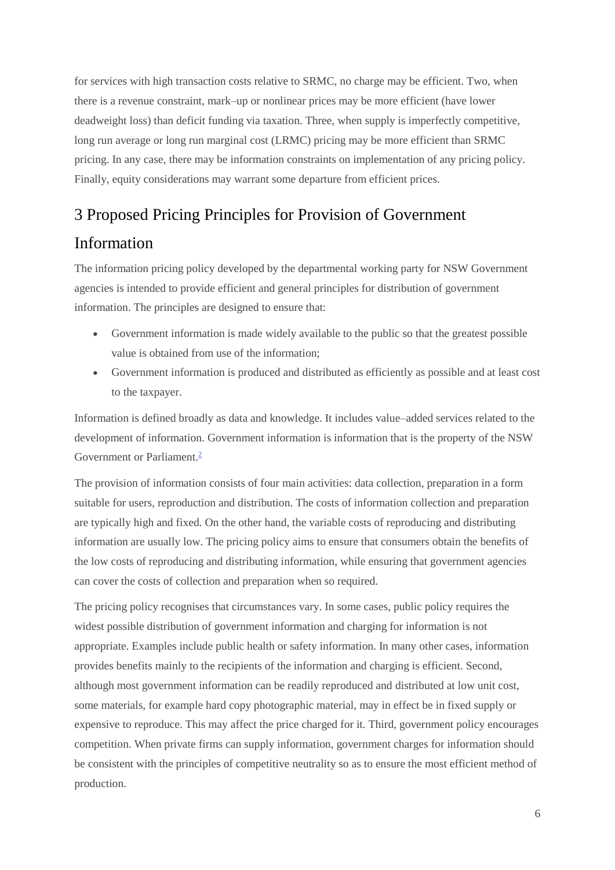for services with high transaction costs relative to SRMC, no charge may be efficient. Two, when there is a revenue constraint, mark–up or nonlinear prices may be more efficient (have lower deadweight loss) than deficit funding via taxation. Three, when supply is imperfectly competitive, long run average or long run marginal cost (LRMC) pricing may be more efficient than SRMC pricing. In any case, there may be information constraints on implementation of any pricing policy. Finally, equity considerations may warrant some departure from efficient prices.

# 3 Proposed Pricing Principles for Provision of Government Information

The information pricing policy developed by the departmental working party for NSW Government agencies is intended to provide efficient and general principles for distribution of government information. The principles are designed to ensure that:

- Government information is made widely available to the public so that the greatest possible value is obtained from use of the information;
- Government information is produced and distributed as efficiently as possible and at least cost to the taxpayer.

Information is defined broadly as data and knowledge. It includes value–added services related to the development of information. Government information is information that is the property of the NSW Government or Parliament.<sup>[2](https://web.archive.org/web/20091014111331/http:/www.appliedeconomics.com.au/pubs/papers/pa01_services.htm#P90_15713)</sup>

The provision of information consists of four main activities: data collection, preparation in a form suitable for users, reproduction and distribution. The costs of information collection and preparation are typically high and fixed. On the other hand, the variable costs of reproducing and distributing information are usually low. The pricing policy aims to ensure that consumers obtain the benefits of the low costs of reproducing and distributing information, while ensuring that government agencies can cover the costs of collection and preparation when so required.

The pricing policy recognises that circumstances vary. In some cases, public policy requires the widest possible distribution of government information and charging for information is not appropriate. Examples include public health or safety information. In many other cases, information provides benefits mainly to the recipients of the information and charging is efficient. Second, although most government information can be readily reproduced and distributed at low unit cost, some materials, for example hard copy photographic material, may in effect be in fixed supply or expensive to reproduce. This may affect the price charged for it. Third, government policy encourages competition. When private firms can supply information, government charges for information should be consistent with the principles of competitive neutrality so as to ensure the most efficient method of production.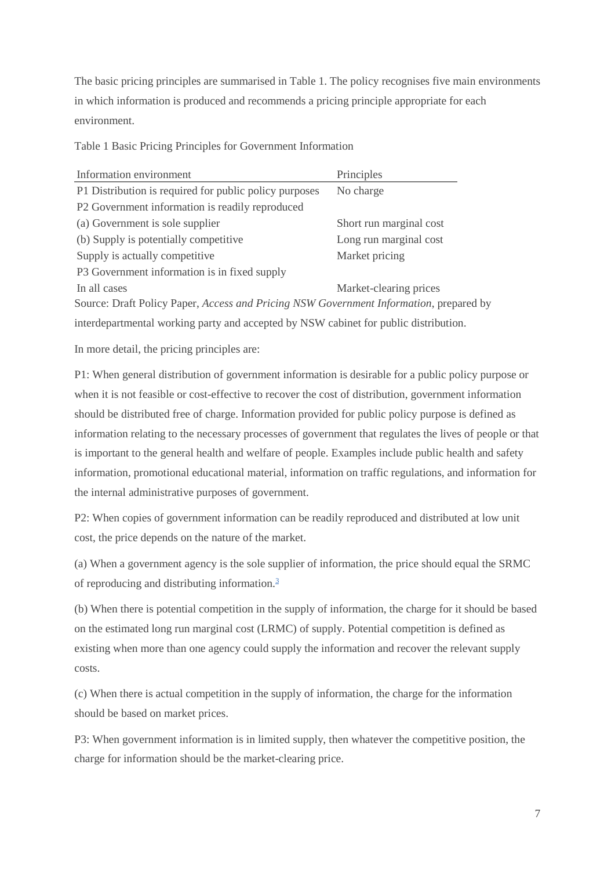The basic pricing principles are summarised in Table 1. The policy recognises five main environments in which information is produced and recommends a pricing principle appropriate for each environment.

Table 1 Basic Pricing Principles for Government Information

| Information environment                                                                | Principles              |
|----------------------------------------------------------------------------------------|-------------------------|
| P1 Distribution is required for public policy purposes                                 | No charge               |
| P2 Government information is readily reproduced                                        |                         |
| (a) Government is sole supplier                                                        | Short run marginal cost |
| (b) Supply is potentially competitive                                                  | Long run marginal cost  |
| Supply is actually competitive.                                                        | Market pricing          |
| P3 Government information is in fixed supply                                           |                         |
| In all cases                                                                           | Market-clearing prices  |
| Source: Draft Policy Paper, Access and Pricing NSW Government Information, prepared by |                         |
| interdepartmental working party and accepted by NSW cabinet for public distribution.   |                         |

In more detail, the pricing principles are:

P1: When general distribution of government information is desirable for a public policy purpose or when it is not feasible or cost-effective to recover the cost of distribution, government information should be distributed free of charge. Information provided for public policy purpose is defined as information relating to the necessary processes of government that regulates the lives of people or that is important to the general health and welfare of people. Examples include public health and safety information, promotional educational material, information on traffic regulations, and information for the internal administrative purposes of government.

P2: When copies of government information can be readily reproduced and distributed at low unit cost, the price depends on the nature of the market.

(a) When a government agency is the sole supplier of information, the price should equal the SRMC of reproducing and distributing information[.](https://web.archive.org/web/20091014111331/http:/www.appliedeconomics.com.au/pubs/papers/pa01_services.htm#P126_19296)<sup>3</sup>

(b) When there is potential competition in the supply of information, the charge for it should be based on the estimated long run marginal cost (LRMC) of supply. Potential competition is defined as existing when more than one agency could supply the information and recover the relevant supply costs.

(c) When there is actual competition in the supply of information, the charge for the information should be based on market prices.

P3: When government information is in limited supply, then whatever the competitive position, the charge for information should be the market-clearing price.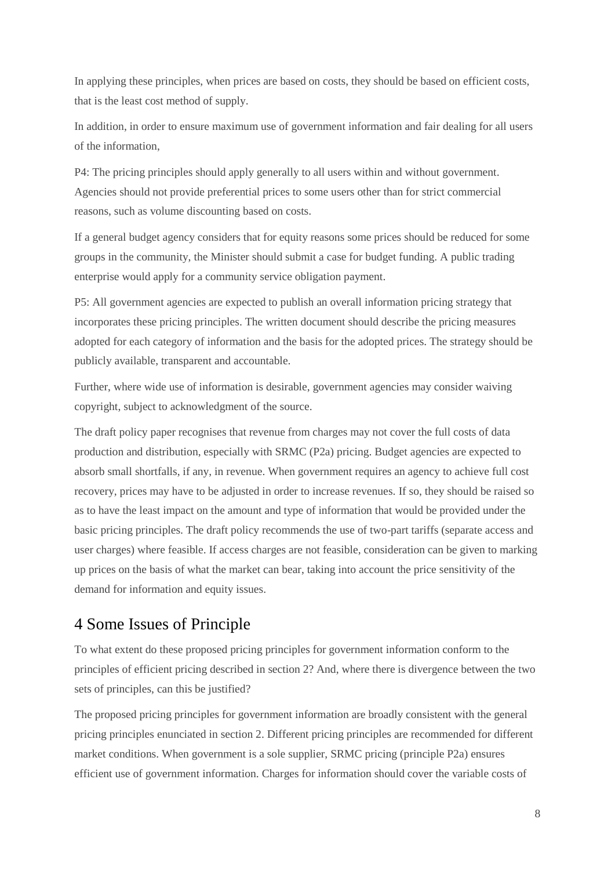In applying these principles, when prices are based on costs, they should be based on efficient costs, that is the least cost method of supply.

In addition, in order to ensure maximum use of government information and fair dealing for all users of the information,

P4: The pricing principles should apply generally to all users within and without government. Agencies should not provide preferential prices to some users other than for strict commercial reasons, such as volume discounting based on costs.

If a general budget agency considers that for equity reasons some prices should be reduced for some groups in the community, the Minister should submit a case for budget funding. A public trading enterprise would apply for a community service obligation payment.

P5: All government agencies are expected to publish an overall information pricing strategy that incorporates these pricing principles. The written document should describe the pricing measures adopted for each category of information and the basis for the adopted prices. The strategy should be publicly available, transparent and accountable.

Further, where wide use of information is desirable, government agencies may consider waiving copyright, subject to acknowledgment of the source.

The draft policy paper recognises that revenue from charges may not cover the full costs of data production and distribution, especially with SRMC (P2a) pricing. Budget agencies are expected to absorb small shortfalls, if any, in revenue. When government requires an agency to achieve full cost recovery, prices may have to be adjusted in order to increase revenues. If so, they should be raised so as to have the least impact on the amount and type of information that would be provided under the basic pricing principles. The draft policy recommends the use of two-part tariffs (separate access and user charges) where feasible. If access charges are not feasible, consideration can be given to marking up prices on the basis of what the market can bear, taking into account the price sensitivity of the demand for information and equity issues.

### 4 Some Issues of Principle

To what extent do these proposed pricing principles for government information conform to the principles of efficient pricing described in section 2? And, where there is divergence between the two sets of principles, can this be justified?

The proposed pricing principles for government information are broadly consistent with the general pricing principles enunciated in section 2. Different pricing principles are recommended for different market conditions. When government is a sole supplier, SRMC pricing (principle P2a) ensures efficient use of government information. Charges for information should cover the variable costs of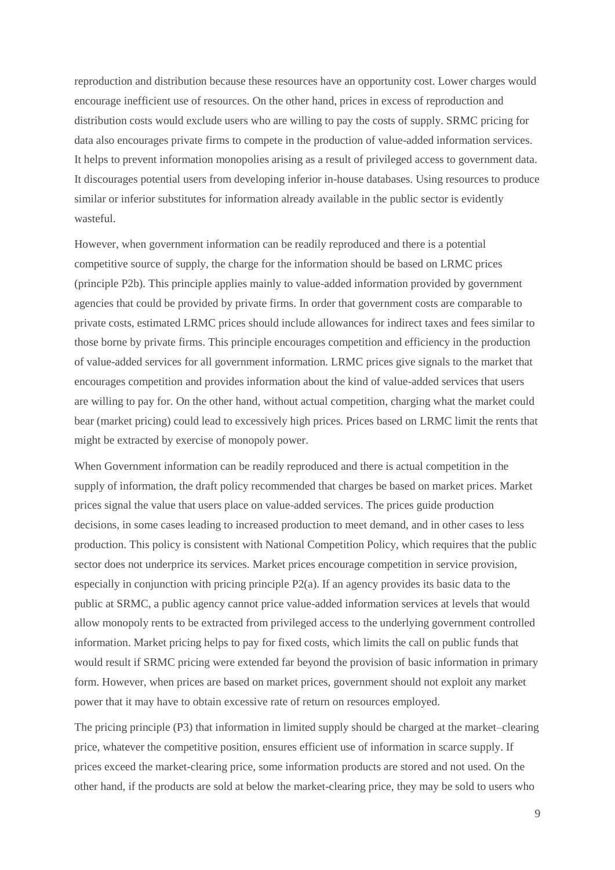reproduction and distribution because these resources have an opportunity cost. Lower charges would encourage inefficient use of resources. On the other hand, prices in excess of reproduction and distribution costs would exclude users who are willing to pay the costs of supply. SRMC pricing for data also encourages private firms to compete in the production of value-added information services. It helps to prevent information monopolies arising as a result of privileged access to government data. It discourages potential users from developing inferior in-house databases. Using resources to produce similar or inferior substitutes for information already available in the public sector is evidently wasteful.

However, when government information can be readily reproduced and there is a potential competitive source of supply, the charge for the information should be based on LRMC prices (principle P2b)*.* This principle applies mainly to value-added information provided by government agencies that could be provided by private firms. In order that government costs are comparable to private costs, estimated LRMC prices should include allowances for indirect taxes and fees similar to those borne by private firms. This principle encourages competition and efficiency in the production of value-added services for all government information. LRMC prices give signals to the market that encourages competition and provides information about the kind of value-added services that users are willing to pay for. On the other hand, without actual competition, charging what the market could bear (market pricing) could lead to excessively high prices. Prices based on LRMC limit the rents that might be extracted by exercise of monopoly power.

When Government information can be readily reproduced and there is actual competition in the supply of information, the draft policy recommended that charges be based on market prices. Market prices signal the value that users place on value-added services. The prices guide production decisions, in some cases leading to increased production to meet demand, and in other cases to less production. This policy is consistent with National Competition Policy, which requires that the public sector does not underprice its services. Market prices encourage competition in service provision, especially in conjunction with pricing principle P2(a). If an agency provides its basic data to the public at SRMC, a public agency cannot price value-added information services at levels that would allow monopoly rents to be extracted from privileged access to the underlying government controlled information. Market pricing helps to pay for fixed costs, which limits the call on public funds that would result if SRMC pricing were extended far beyond the provision of basic information in primary form. However, when prices are based on market prices, government should not exploit any market power that it may have to obtain excessive rate of return on resources employed.

The pricing principle (P3) that information in limited supply should be charged at the market–clearing price, whatever the competitive position, ensures efficient use of information in scarce supply. If prices exceed the market-clearing price, some information products are stored and not used. On the other hand, if the products are sold at below the market-clearing price, they may be sold to users who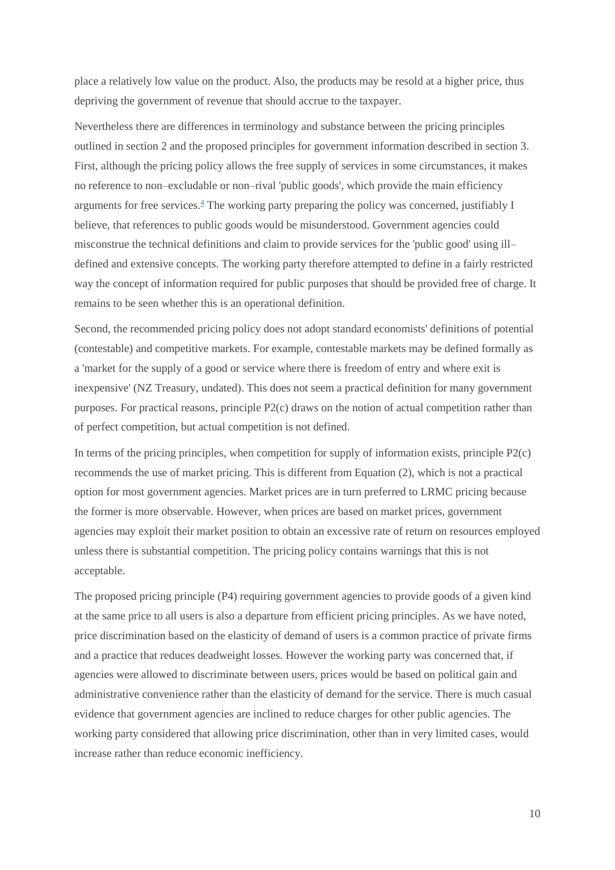place a relatively low value on the product. Also, the products may be resold at a higher price, thus depriving the government of revenue that should accrue to the taxpayer.

Nevertheless there are differences in terminology and substance between the pricing principles outlined in section 2 and the proposed principles for government information described in section 3. First, although the pricing policy allows the free supply of services in some circumstances, it makes no reference to non–excludable or non–rival 'public goods', which provide the main efficiency arguments for free services. $4$  The working party preparing the policy was concerned, justifiably I believe, that references to public goods would be misunderstood. Government agencies could misconstrue the technical definitions and claim to provide services for the 'public good' using ill– defined and extensive concepts. The working party therefore attempted to define in a fairly restricted way the concept of information required for public purposes that should be provided free of charge. It remains to be seen whether this is an operational definition.

Second, the recommended pricing policy does not adopt standard economists' definitions of potential (contestable) and competitive markets. For example, contestable markets may be defined formally as a 'market for the supply of a good or service where there is freedom of entry and where exit is inexpensive' (NZ Treasury, undated). This does not seem a practical definition for many government purposes. For practical reasons, principle P2(c) draws on the notion of actual competition rather than of perfect competition, but actual competition is not defined.

In terms of the pricing principles, when competition for supply of information exists, principle  $P2(c)$ recommends the use of market pricing. This is different from Equation (2), which is not a practical option for most government agencies. Market prices are in turn preferred to LRMC pricing because the former is more observable. However, when prices are based on market prices, government agencies may exploit their market position to obtain an excessive rate of return on resources employed unless there is substantial competition. The pricing policy contains warnings that this is not acceptable.

The proposed pricing principle (P4) requiring government agencies to provide goods of a given kind at the same price to all users is also a departure from efficient pricing principles. As we have noted, price discrimination based on the elasticity of demand of users is a common practice of private firms and a practice that reduces deadweight losses. However the working party was concerned that, if agencies were allowed to discriminate between users, prices would be based on political gain and administrative convenience rather than the elasticity of demand for the service. There is much casual evidence that government agencies are inclined to reduce charges for other public agencies. The working party considered that allowing price discrimination, other than in very limited cases, would increase rather than reduce economic inefficiency.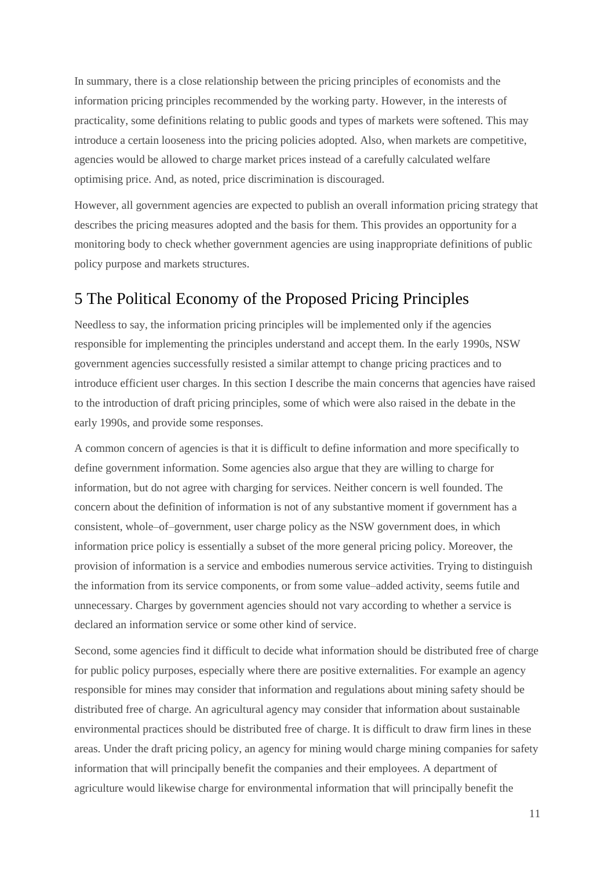In summary, there is a close relationship between the pricing principles of economists and the information pricing principles recommended by the working party. However, in the interests of practicality, some definitions relating to public goods and types of markets were softened. This may introduce a certain looseness into the pricing policies adopted. Also, when markets are competitive, agencies would be allowed to charge market prices instead of a carefully calculated welfare optimising price. And, as noted, price discrimination is discouraged.

However, all government agencies are expected to publish an overall information pricing strategy that describes the pricing measures adopted and the basis for them. This provides an opportunity for a monitoring body to check whether government agencies are using inappropriate definitions of public policy purpose and markets structures.

### 5 The Political Economy of the Proposed Pricing Principles

Needless to say, the information pricing principles will be implemented only if the agencies responsible for implementing the principles understand and accept them. In the early 1990s, NSW government agencies successfully resisted a similar attempt to change pricing practices and to introduce efficient user charges. In this section I describe the main concerns that agencies have raised to the introduction of draft pricing principles, some of which were also raised in the debate in the early 1990s, and provide some responses.

A common concern of agencies is that it is difficult to define information and more specifically to define government information. Some agencies also argue that they are willing to charge for information, but do not agree with charging for services. Neither concern is well founded. The concern about the definition of information is not of any substantive moment if government has a consistent, whole–of–government, user charge policy as the NSW government does, in which information price policy is essentially a subset of the more general pricing policy. Moreover, the provision of information is a service and embodies numerous service activities. Trying to distinguish the information from its service components, or from some value–added activity, seems futile and unnecessary. Charges by government agencies should not vary according to whether a service is declared an information service or some other kind of service.

Second, some agencies find it difficult to decide what information should be distributed free of charge for public policy purposes, especially where there are positive externalities. For example an agency responsible for mines may consider that information and regulations about mining safety should be distributed free of charge. An agricultural agency may consider that information about sustainable environmental practices should be distributed free of charge. It is difficult to draw firm lines in these areas. Under the draft pricing policy, an agency for mining would charge mining companies for safety information that will principally benefit the companies and their employees. A department of agriculture would likewise charge for environmental information that will principally benefit the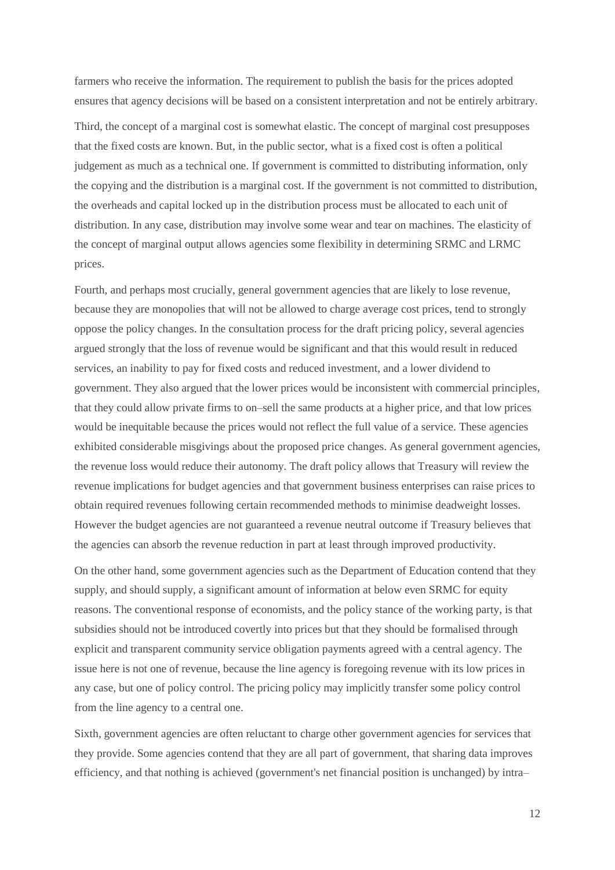farmers who receive the information. The requirement to publish the basis for the prices adopted ensures that agency decisions will be based on a consistent interpretation and not be entirely arbitrary.

Third, the concept of a marginal cost is somewhat elastic. The concept of marginal cost presupposes that the fixed costs are known. But, in the public sector, what is a fixed cost is often a political judgement as much as a technical one. If government is committed to distributing information, only the copying and the distribution is a marginal cost. If the government is not committed to distribution, the overheads and capital locked up in the distribution process must be allocated to each unit of distribution. In any case, distribution may involve some wear and tear on machines. The elasticity of the concept of marginal output allows agencies some flexibility in determining SRMC and LRMC prices.

Fourth, and perhaps most crucially, general government agencies that are likely to lose revenue, because they are monopolies that will not be allowed to charge average cost prices, tend to strongly oppose the policy changes. In the consultation process for the draft pricing policy, several agencies argued strongly that the loss of revenue would be significant and that this would result in reduced services, an inability to pay for fixed costs and reduced investment, and a lower dividend to government. They also argued that the lower prices would be inconsistent with commercial principles, that they could allow private firms to on–sell the same products at a higher price, and that low prices would be inequitable because the prices would not reflect the full value of a service. These agencies exhibited considerable misgivings about the proposed price changes. As general government agencies, the revenue loss would reduce their autonomy. The draft policy allows that Treasury will review the revenue implications for budget agencies and that government business enterprises can raise prices to obtain required revenues following certain recommended methods to minimise deadweight losses. However the budget agencies are not guaranteed a revenue neutral outcome if Treasury believes that the agencies can absorb the revenue reduction in part at least through improved productivity.

On the other hand, some government agencies such as the Department of Education contend that they supply, and should supply, a significant amount of information at below even SRMC for equity reasons. The conventional response of economists, and the policy stance of the working party, is that subsidies should not be introduced covertly into prices but that they should be formalised through explicit and transparent community service obligation payments agreed with a central agency. The issue here is not one of revenue, because the line agency is foregoing revenue with its low prices in any case, but one of policy control. The pricing policy may implicitly transfer some policy control from the line agency to a central one.

Sixth, government agencies are often reluctant to charge other government agencies for services that they provide. Some agencies contend that they are all part of government, that sharing data improves efficiency, and that nothing is achieved (government's net financial position is unchanged) by intra–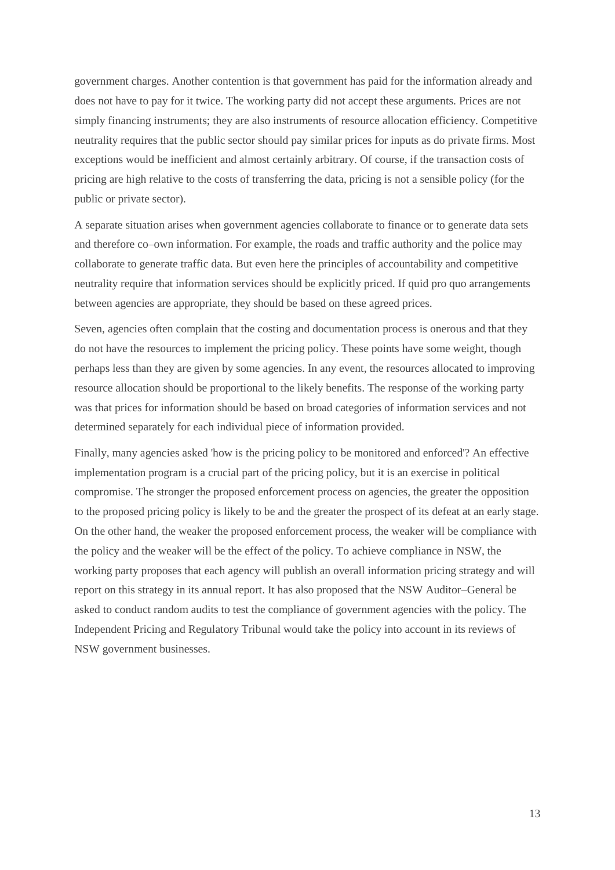government charges. Another contention is that government has paid for the information already and does not have to pay for it twice. The working party did not accept these arguments. Prices are not simply financing instruments; they are also instruments of resource allocation efficiency. Competitive neutrality requires that the public sector should pay similar prices for inputs as do private firms. Most exceptions would be inefficient and almost certainly arbitrary. Of course, if the transaction costs of pricing are high relative to the costs of transferring the data, pricing is not a sensible policy (for the public or private sector).

A separate situation arises when government agencies collaborate to finance or to generate data sets and therefore co–own information. For example, the roads and traffic authority and the police may collaborate to generate traffic data. But even here the principles of accountability and competitive neutrality require that information services should be explicitly priced. If quid pro quo arrangements between agencies are appropriate, they should be based on these agreed prices.

Seven, agencies often complain that the costing and documentation process is onerous and that they do not have the resources to implement the pricing policy. These points have some weight, though perhaps less than they are given by some agencies. In any event, the resources allocated to improving resource allocation should be proportional to the likely benefits. The response of the working party was that prices for information should be based on broad categories of information services and not determined separately for each individual piece of information provided.

Finally, many agencies asked 'how is the pricing policy to be monitored and enforced'? An effective implementation program is a crucial part of the pricing policy, but it is an exercise in political compromise. The stronger the proposed enforcement process on agencies, the greater the opposition to the proposed pricing policy is likely to be and the greater the prospect of its defeat at an early stage. On the other hand, the weaker the proposed enforcement process, the weaker will be compliance with the policy and the weaker will be the effect of the policy. To achieve compliance in NSW, the working party proposes that each agency will publish an overall information pricing strategy and will report on this strategy in its annual report. It has also proposed that the NSW Auditor–General be asked to conduct random audits to test the compliance of government agencies with the policy. The Independent Pricing and Regulatory Tribunal would take the policy into account in its reviews of NSW government businesses.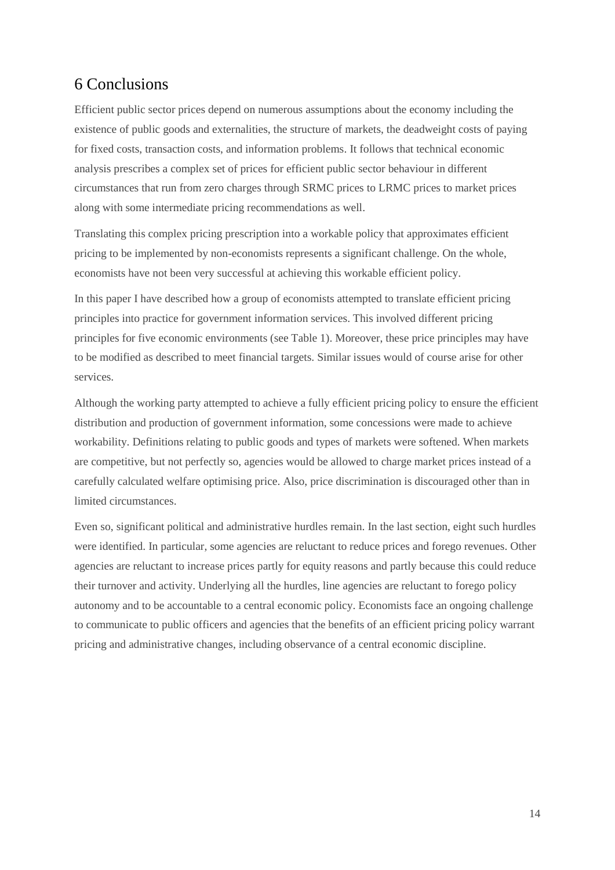### 6 Conclusions

Efficient public sector prices depend on numerous assumptions about the economy including the existence of public goods and externalities, the structure of markets, the deadweight costs of paying for fixed costs, transaction costs, and information problems. It follows that technical economic analysis prescribes a complex set of prices for efficient public sector behaviour in different circumstances that run from zero charges through SRMC prices to LRMC prices to market prices along with some intermediate pricing recommendations as well.

Translating this complex pricing prescription into a workable policy that approximates efficient pricing to be implemented by non-economists represents a significant challenge. On the whole, economists have not been very successful at achieving this workable efficient policy.

In this paper I have described how a group of economists attempted to translate efficient pricing principles into practice for government information services. This involved different pricing principles for five economic environments (see Table 1). Moreover, these price principles may have to be modified as described to meet financial targets. Similar issues would of course arise for other services.

Although the working party attempted to achieve a fully efficient pricing policy to ensure the efficient distribution and production of government information, some concessions were made to achieve workability. Definitions relating to public goods and types of markets were softened. When markets are competitive, but not perfectly so, agencies would be allowed to charge market prices instead of a carefully calculated welfare optimising price. Also, price discrimination is discouraged other than in limited circumstances.

Even so, significant political and administrative hurdles remain. In the last section, eight such hurdles were identified. In particular, some agencies are reluctant to reduce prices and forego revenues. Other agencies are reluctant to increase prices partly for equity reasons and partly because this could reduce their turnover and activity. Underlying all the hurdles, line agencies are reluctant to forego policy autonomy and to be accountable to a central economic policy. Economists face an ongoing challenge to communicate to public officers and agencies that the benefits of an efficient pricing policy warrant pricing and administrative changes, including observance of a central economic discipline.